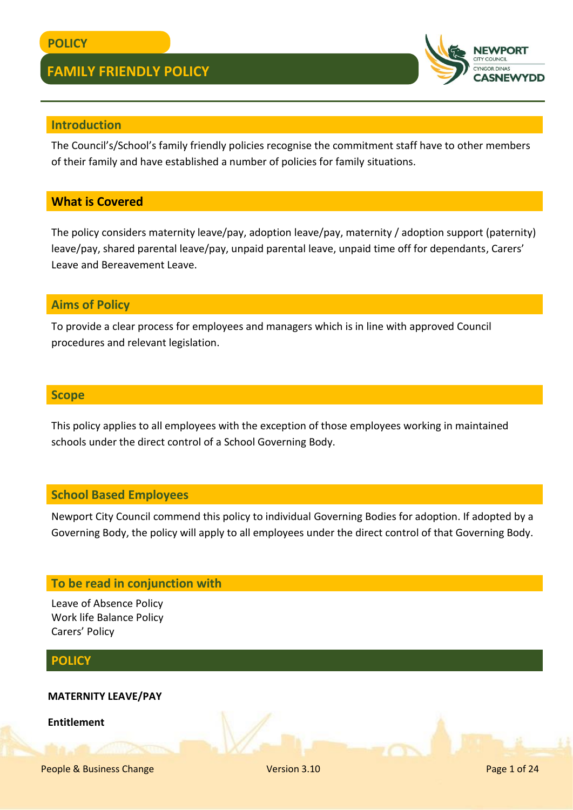

#### **Introduction**

The Council's/School's family friendly policies recognise the commitment staff have to other members of their family and have established a number of policies for family situations.

#### **What is Covered**

The policy considers maternity leave/pay, adoption leave/pay, maternity / adoption support (paternity) leave/pay, shared parental leave/pay, unpaid parental leave, unpaid time off for dependants, Carers' Leave and Bereavement Leave.

#### **Aims of Policy**

To provide a clear process for employees and managers which is in line with approved Council procedures and relevant legislation.

#### **Scope**

This policy applies to all employees with the exception of those employees working in maintained schools under the direct control of a School Governing Body.

#### **School Based Employees**

Newport City Council commend this policy to individual Governing Bodies for adoption. If adopted by a Governing Body, the policy will apply to all employees under the direct control of that Governing Body.

#### **To be read in conjunction with**

Leave of Absence Policy Work life Balance Policy Carers' Policy

#### **POLICY**

#### **MATERNITY LEAVE/PAY**

**Entitlement**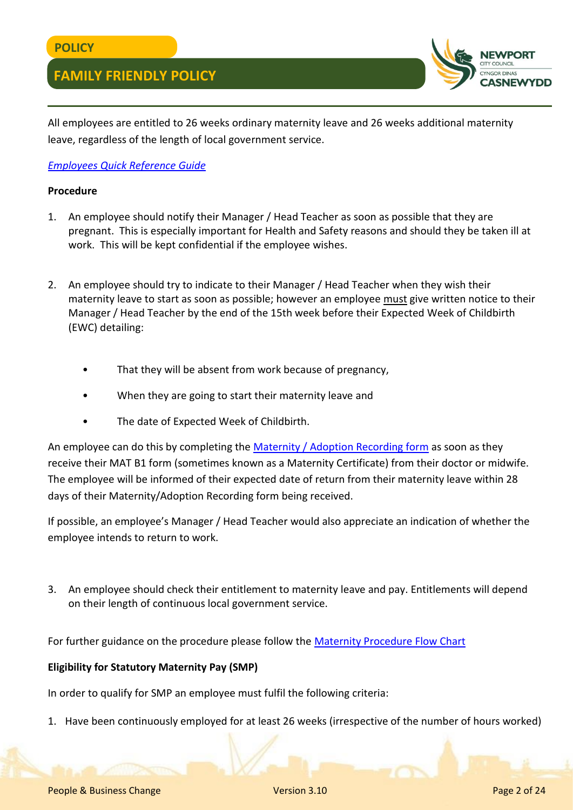

All employees are entitled to 26 weeks ordinary maternity leave and 26 weeks additional maternity leave, regardless of the length of local government service.

#### *[Employees Quick Reference Guide](http://www.newport.gov.uk/documents/Policies/HR-Maternity-Leave-Pay---Employees-Quick-Reference-Guide.pdf)*

#### **Procedure**

- 1. An employee should notify their Manager / Head Teacher as soon as possible that they are pregnant. This is especially important for Health and Safety reasons and should they be taken ill at work. This will be kept confidential if the employee wishes.
- 2. An employee should try to indicate to their Manager / Head Teacher when they wish their maternity leave to start as soon as possible; however an employee must give written notice to their Manager / Head Teacher by the end of the 15th week before their Expected Week of Childbirth (EWC) detailing:
	- That they will be absent from work because of pregnancy,
	- When they are going to start their maternity leave and
	- The date of Expected Week of Childbirth.

An employee can do this by completing the [Maternity / Adoption Recording form](file://///mshome01/home/cercas/HR-Maternity-Adoption-Recording-Form.docx) as soon as they receive their MAT B1 form (sometimes known as a Maternity Certificate) from their doctor or midwife. The employee will be informed of their expected date of return from their maternity leave within 28 days of their Maternity/Adoption Recording form being received.

If possible, an employee's Manager / Head Teacher would also appreciate an indication of whether the employee intends to return to work.

3. An employee should check their entitlement to maternity leave and pay. Entitlements will depend on their length of continuous local government service.

For further guidance on the procedure please follow the [Maternity Procedure Flow Chart](file://///mscs01/cs/HRP/Human%20Resources/HR_DATA/POLICIES_GUIDANCE_FORMS/CURRENT%20POLICIES,%20FORMS%20&%20GUIDANCE/Maternity,%20Paternity%20&%20Adoption/Forms/Maternity%20Procedure%20Flow%20Chart.docx)

#### **Eligibility for Statutory Maternity Pay (SMP)**

In order to qualify for SMP an employee must fulfil the following criteria:

1. Have been continuously employed for at least 26 weeks (irrespective of the number of hours worked)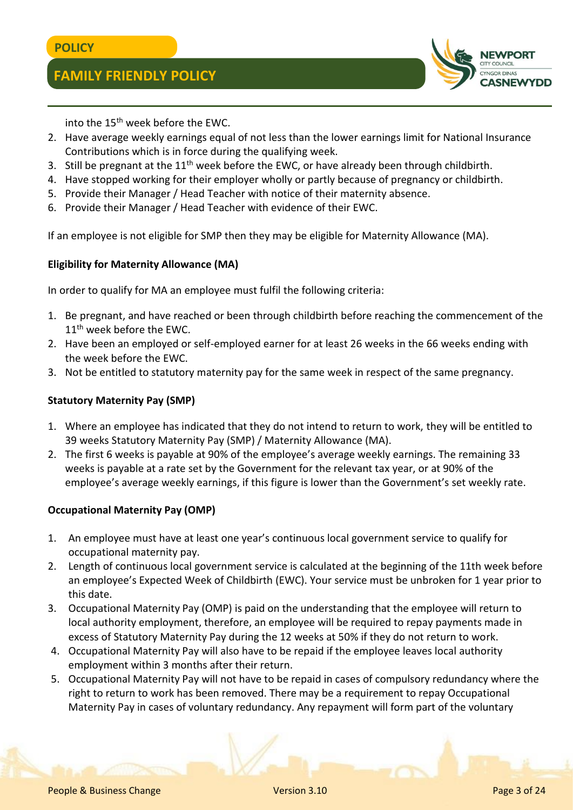**ASNEWYDD** 

into the 15<sup>th</sup> week before the EWC.

- 2. Have average weekly earnings equal of not less than the lower earnings limit for National Insurance Contributions which is in force during the qualifying week.
- 3. Still be pregnant at the  $11<sup>th</sup>$  week before the EWC, or have already been through childbirth.
- 4. Have stopped working for their employer wholly or partly because of pregnancy or childbirth.
- 5. Provide their Manager / Head Teacher with notice of their maternity absence.
- 6. Provide their Manager / Head Teacher with evidence of their EWC.

If an employee is not eligible for SMP then they may be eligible for Maternity Allowance (MA).

#### **Eligibility for Maternity Allowance (MA)**

In order to qualify for MA an employee must fulfil the following criteria:

- 1. Be pregnant, and have reached or been through childbirth before reaching the commencement of the 11<sup>th</sup> week before the EWC.
- 2. Have been an employed or self-employed earner for at least 26 weeks in the 66 weeks ending with the week before the EWC.
- 3. Not be entitled to statutory maternity pay for the same week in respect of the same pregnancy.

#### **Statutory Maternity Pay (SMP)**

- 1. Where an employee has indicated that they do not intend to return to work, they will be entitled to 39 weeks Statutory Maternity Pay (SMP) / Maternity Allowance (MA).
- 2. The first 6 weeks is payable at 90% of the employee's average weekly earnings. The remaining 33 weeks is payable at a rate set by the Government for the relevant tax year, or at 90% of the employee's average weekly earnings, if this figure is lower than the Government's set weekly rate.

#### **Occupational Maternity Pay (OMP)**

- 1. An employee must have at least one year's continuous local government service to qualify for occupational maternity pay.
- 2. Length of continuous local government service is calculated at the beginning of the 11th week before an employee's Expected Week of Childbirth (EWC). Your service must be unbroken for 1 year prior to this date.
- 3. Occupational Maternity Pay (OMP) is paid on the understanding that the employee will return to local authority employment, therefore, an employee will be required to repay payments made in excess of Statutory Maternity Pay during the 12 weeks at 50% if they do not return to work.
- 4. Occupational Maternity Pay will also have to be repaid if the employee leaves local authority employment within 3 months after their return.
- 5. Occupational Maternity Pay will not have to be repaid in cases of compulsory redundancy where the right to return to work has been removed. There may be a requirement to repay Occupational Maternity Pay in cases of voluntary redundancy. Any repayment will form part of the voluntary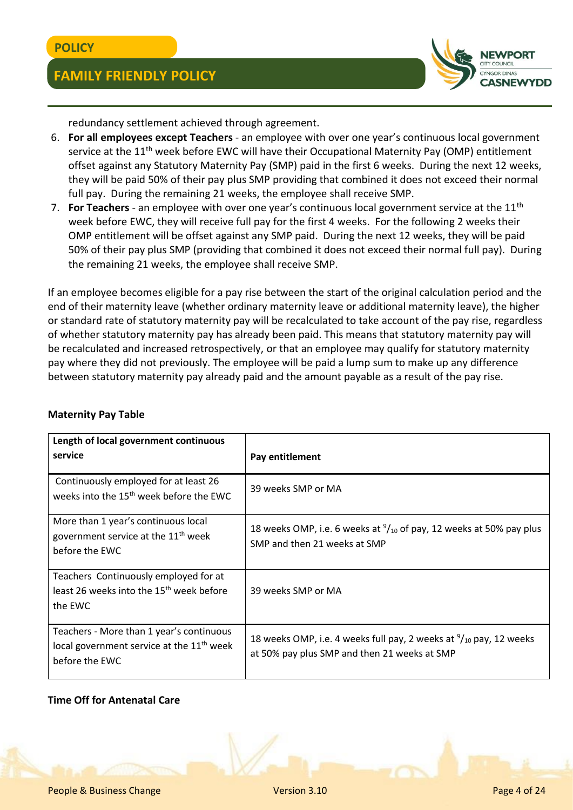

redundancy settlement achieved through agreement.

- 6. **For all employees except Teachers** an employee with over one year's continuous local government service at the 11<sup>th</sup> week before EWC will have their Occupational Maternity Pay (OMP) entitlement offset against any Statutory Maternity Pay (SMP) paid in the first 6 weeks. During the next 12 weeks, they will be paid 50% of their pay plus SMP providing that combined it does not exceed their normal full pay. During the remaining 21 weeks, the employee shall receive SMP.
- 7. **For Teachers** an employee with over one year's continuous local government service at the 11<sup>th</sup> week before EWC, they will receive full pay for the first 4 weeks. For the following 2 weeks their OMP entitlement will be offset against any SMP paid. During the next 12 weeks, they will be paid 50% of their pay plus SMP (providing that combined it does not exceed their normal full pay). During the remaining 21 weeks, the employee shall receive SMP.

If an employee becomes eligible for a pay rise between the start of the original calculation period and the end of their maternity leave (whether ordinary maternity leave or additional maternity leave), the higher or standard rate of statutory maternity pay will be recalculated to take account of the pay rise, regardless of whether statutory maternity pay has already been paid. This means that statutory maternity pay will be recalculated and increased retrospectively, or that an employee may qualify for statutory maternity pay where they did not previously. The employee will be paid a lump sum to make up any difference between statutory maternity pay already paid and the amount payable as a result of the pay rise.

| Length of local government continuous<br>service                                                                    | Pay entitlement                                                                                                              |
|---------------------------------------------------------------------------------------------------------------------|------------------------------------------------------------------------------------------------------------------------------|
| Continuously employed for at least 26<br>weeks into the 15 <sup>th</sup> week before the EWC                        | 39 weeks SMP or MA                                                                                                           |
| More than 1 year's continuous local<br>government service at the 11 <sup>th</sup> week<br>before the EWC            | 18 weeks OMP, i.e. 6 weeks at $\frac{9}{10}$ of pay, 12 weeks at 50% pay plus<br>SMP and then 21 weeks at SMP                |
| Teachers Continuously employed for at<br>least 26 weeks into the 15 <sup>th</sup> week before<br>the EWC            | 39 weeks SMP or MA                                                                                                           |
| Teachers - More than 1 year's continuous<br>local government service at the 11 <sup>th</sup> week<br>before the EWC | 18 weeks OMP, i.e. 4 weeks full pay, 2 weeks at $\frac{9}{10}$ pay, 12 weeks<br>at 50% pay plus SMP and then 21 weeks at SMP |

#### **Maternity Pay Table**

#### **Time Off for Antenatal Care**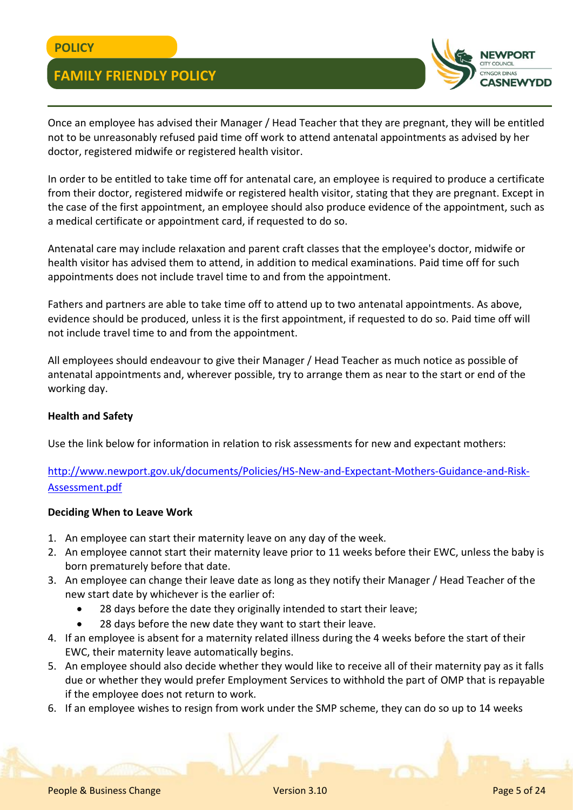

Once an employee has advised their Manager / Head Teacher that they are pregnant, they will be entitled not to be unreasonably refused paid time off work to attend antenatal appointments as advised by her doctor, registered midwife or registered health visitor.

In order to be entitled to take time off for antenatal care, an employee is required to produce a certificate from their doctor, registered midwife or registered health visitor, stating that they are pregnant. Except in the case of the first appointment, an employee should also produce evidence of the appointment, such as a medical certificate or appointment card, if requested to do so.

Antenatal care may include relaxation and parent craft classes that the employee's doctor, midwife or health visitor has advised them to attend, in addition to medical examinations. Paid time off for such appointments does not include travel time to and from the appointment.

Fathers and partners are able to take time off to attend up to two antenatal appointments. As above, evidence should be produced, unless it is the first appointment, if requested to do so. Paid time off will not include travel time to and from the appointment.

All employees should endeavour to give their Manager / Head Teacher as much notice as possible of antenatal appointments and, wherever possible, try to arrange them as near to the start or end of the working day.

#### **Health and Safety**

Use the link below for information in relation to risk assessments for new and expectant mothers:

[http://www.newport.gov.uk/documents/Policies/HS-New-and-Expectant-Mothers-Guidance-and-Risk-](http://www.newport.gov.uk/documents/Policies/HS-New-and-Expectant-Mothers-Guidance-and-Risk-Assessment.pdf)[Assessment.pdf](http://www.newport.gov.uk/documents/Policies/HS-New-and-Expectant-Mothers-Guidance-and-Risk-Assessment.pdf)

#### **Deciding When to Leave Work**

- 1. An employee can start their maternity leave on any day of the week.
- 2. An employee cannot start their maternity leave prior to 11 weeks before their EWC, unless the baby is born prematurely before that date.
- 3. An employee can change their leave date as long as they notify their Manager / Head Teacher of the new start date by whichever is the earlier of:
	- 28 days before the date they originally intended to start their leave;
	- 28 days before the new date they want to start their leave.
- 4. If an employee is absent for a maternity related illness during the 4 weeks before the start of their EWC, their maternity leave automatically begins.
- 5. An employee should also decide whether they would like to receive all of their maternity pay as it falls due or whether they would prefer Employment Services to withhold the part of OMP that is repayable if the employee does not return to work.
- 6. If an employee wishes to resign from work under the SMP scheme, they can do so up to 14 weeks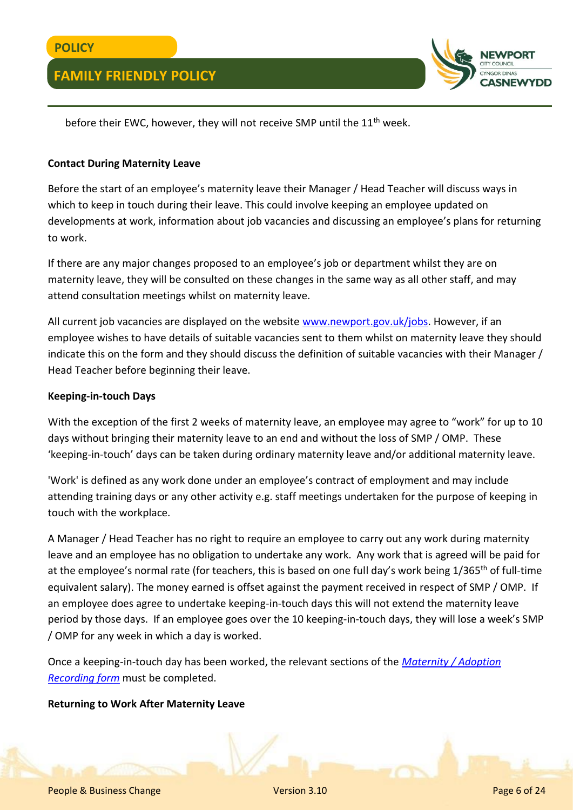

before their EWC, however, they will not receive SMP until the 11<sup>th</sup> week.

#### **Contact During Maternity Leave**

Before the start of an employee's maternity leave their Manager / Head Teacher will discuss ways in which to keep in touch during their leave. This could involve keeping an employee updated on developments at work, information about job vacancies and discussing an employee's plans for returning to work.

If there are any major changes proposed to an employee's job or department whilst they are on maternity leave, they will be consulted on these changes in the same way as all other staff, and may attend consultation meetings whilst on maternity leave.

All current job vacancies are displayed on the website [www.newport.gov.uk/jobs.](http://www.newport.gov.uk/jobs) However, if an employee wishes to have details of suitable vacancies sent to them whilst on maternity leave they should indicate this on the form and they should discuss the definition of suitable vacancies with their Manager / Head Teacher before beginning their leave.

#### **Keeping-in-touch Days**

With the exception of the first 2 weeks of maternity leave, an employee may agree to "work" for up to 10 days without bringing their maternity leave to an end and without the loss of SMP / OMP. These 'keeping-in-touch' days can be taken during ordinary maternity leave and/or additional maternity leave.

'Work' is defined as any work done under an employee's contract of employment and may include attending training days or any other activity e.g. staff meetings undertaken for the purpose of keeping in touch with the workplace.

A Manager / Head Teacher has no right to require an employee to carry out any work during maternity leave and an employee has no obligation to undertake any work. Any work that is agreed will be paid for at the employee's normal rate (for teachers, this is based on one full day's work being 1/365<sup>th</sup> of full-time equivalent salary). The money earned is offset against the payment received in respect of SMP / OMP. If an employee does agree to undertake keeping-in-touch days this will not extend the maternity leave period by those days. If an employee goes over the 10 keeping-in-touch days, they will lose a week's SMP / OMP for any week in which a day is worked.

Once a keeping-in-touch day has been worked, the relevant sections of the *[Maternity / Adoption](http://www.newport.gov.uk/documents/Forms/HR-Maternity-Adoption-Recording-Form.docx)  [Recording form](http://www.newport.gov.uk/documents/Forms/HR-Maternity-Adoption-Recording-Form.docx)* must be completed.

#### **Returning to Work After Maternity Leave**

People & Business Change Version 3.10 Page 6 of 24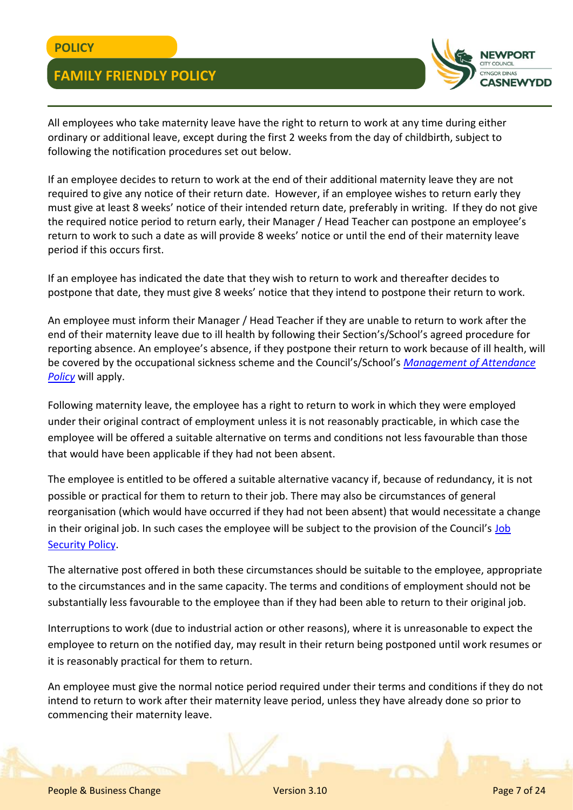

All employees who take maternity leave have the right to return to work at any time during either ordinary or additional leave, except during the first 2 weeks from the day of childbirth, subject to following the notification procedures set out below.

If an employee decides to return to work at the end of their additional maternity leave they are not required to give any notice of their return date. However, if an employee wishes to return early they must give at least 8 weeks' notice of their intended return date, preferably in writing. If they do not give the required notice period to return early, their Manager / Head Teacher can postpone an employee's return to work to such a date as will provide 8 weeks' notice or until the end of their maternity leave period if this occurs first.

If an employee has indicated the date that they wish to return to work and thereafter decides to postpone that date, they must give 8 weeks' notice that they intend to postpone their return to work.

An employee must inform their Manager / Head Teacher if they are unable to return to work after the end of their maternity leave due to ill health by following their Section's/School's agreed procedure for reporting absence. An employee's absence, if they postpone their return to work because of ill health, will be covered by the occupational sickness scheme and the Council's/School's *[Management of Attendance](http://www.newport.gov.uk/documents/Policies/HR-Management-of-Attendance-Policy.pdf)  [Policy](http://www.newport.gov.uk/documents/Policies/HR-Management-of-Attendance-Policy.pdf)* will apply.

Following maternity leave, the employee has a right to return to work in which they were employed under their original contract of employment unless it is not reasonably practicable, in which case the employee will be offered a suitable alternative on terms and conditions not less favourable than those that would have been applicable if they had not been absent.

The employee is entitled to be offered a suitable alternative vacancy if, because of redundancy, it is not possible or practical for them to return to their job. There may also be circumstances of general reorganisation (which would have occurred if they had not been absent) that would necessitate a change in their original job. In such cases the employee will be subject to the provision of the Council's Job [Security Policy.](http://www.newport.gov.uk/documents/Policies/HR-Job-Security-Policy.pdf)

The alternative post offered in both these circumstances should be suitable to the employee, appropriate to the circumstances and in the same capacity. The terms and conditions of employment should not be substantially less favourable to the employee than if they had been able to return to their original job.

Interruptions to work (due to industrial action or other reasons), where it is unreasonable to expect the employee to return on the notified day, may result in their return being postponed until work resumes or it is reasonably practical for them to return.

An employee must give the normal notice period required under their terms and conditions if they do not intend to return to work after their maternity leave period, unless they have already done so prior to commencing their maternity leave.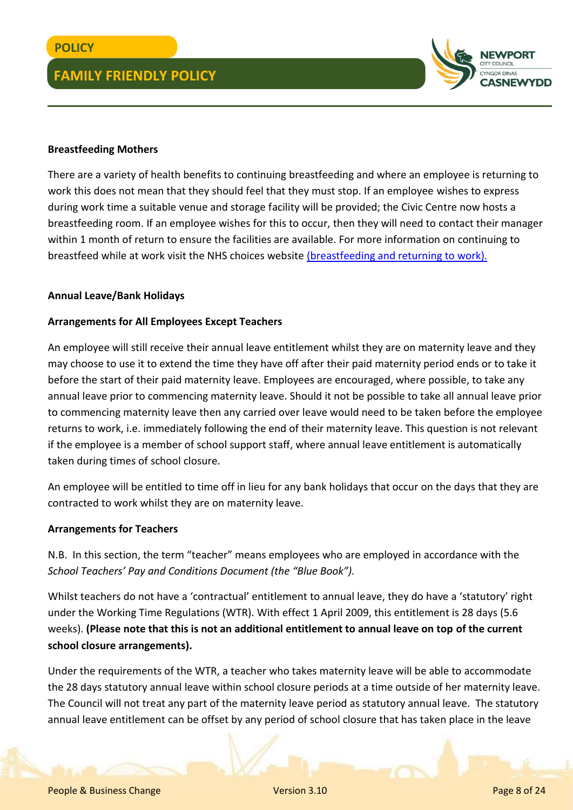

#### **Breastfeeding Mothers**

There are a variety of health benefits to continuing breastfeeding and where an employee is returning to work this does not mean that they should feel that they must stop. If an employee wishes to express during work time a suitable venue and storage facility will be provided; the Civic Centre now hosts a breastfeeding room. If an employee wishes for this to occur, then they will need to contact their manager within 1 month of return to ensure the facilities are available. For more information on continuing to breastfeed while at work visit the NHS choices website [\(breastfeeding and returning to work\).](http://www.nhs.uk/conditions/pregnancy-and-baby/pages/breastfeeding-back-to-work.aspx)

#### **Annual Leave/Bank Holidays**

#### **Arrangements for All Employees Except Teachers**

An employee will still receive their annual leave entitlement whilst they are on maternity leave and they may choose to use it to extend the time they have off after their paid maternity period ends or to take it before the start of their paid maternity leave. Employees are encouraged, where possible, to take any annual leave prior to commencing maternity leave. Should it not be possible to take all annual leave prior to commencing maternity leave then any carried over leave would need to be taken before the employee returns to work, i.e. immediately following the end of their maternity leave. This question is not relevant if the employee is a member of school support staff, where annual leave entitlement is automatically taken during times of school closure.

An employee will be entitled to time off in lieu for any bank holidays that occur on the days that they are contracted to work whilst they are on maternity leave.

#### **Arrangements for Teachers**

N.B. In this section, the term "teacher" means employees who are employed in accordance with the *School Teachers' Pay and Conditions Document (the "Blue Book").*

Whilst teachers do not have a 'contractual' entitlement to annual leave, they do have a 'statutory' right under the Working Time Regulations (WTR). With effect 1 April 2009, this entitlement is 28 days (5.6 weeks). **(Please note that this is not an additional entitlement to annual leave on top of the current school closure arrangements).**

Under the requirements of the WTR, a teacher who takes maternity leave will be able to accommodate the 28 days statutory annual leave within school closure periods at a time outside of her maternity leave. The Council will not treat any part of the maternity leave period as statutory annual leave. The statutory annual leave entitlement can be offset by any period of school closure that has taken place in the leave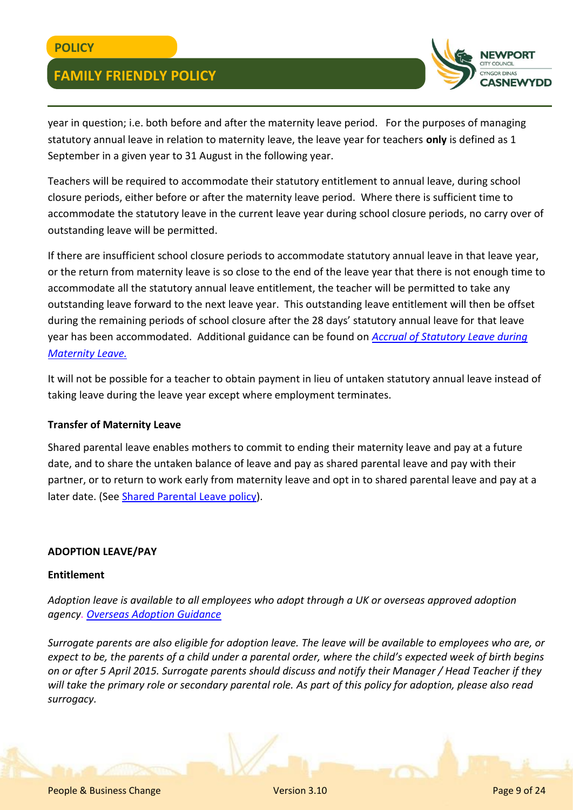

year in question; i.e. both before and after the maternity leave period. For the purposes of managing statutory annual leave in relation to maternity leave, the leave year for teachers **only** is defined as 1 September in a given year to 31 August in the following year.

Teachers will be required to accommodate their statutory entitlement to annual leave, during school closure periods, either before or after the maternity leave period. Where there is sufficient time to accommodate the statutory leave in the current leave year during school closure periods, no carry over of outstanding leave will be permitted.

If there are insufficient school closure periods to accommodate statutory annual leave in that leave year, or the return from maternity leave is so close to the end of the leave year that there is not enough time to accommodate all the statutory annual leave entitlement, the teacher will be permitted to take any outstanding leave forward to the next leave year. This outstanding leave entitlement will then be offset during the remaining periods of school closure after the 28 days' statutory annual leave for that leave year has been accommodated. Additional guidance can be found on *[Accrual of Statutory Leave during](http://www.newport.gov.uk/documents/Policies/HR-Accrual-of-Statutory-Leave-during-Maternity-Leave.pdf)  [Maternity Leave.](http://www.newport.gov.uk/documents/Policies/HR-Accrual-of-Statutory-Leave-during-Maternity-Leave.pdf)*

It will not be possible for a teacher to obtain payment in lieu of untaken statutory annual leave instead of taking leave during the leave year except where employment terminates.

#### **Transfer of Maternity Leave**

Shared parental leave enables mothers to commit to ending their maternity leave and pay at a future date, and to share the untaken balance of leave and pay as shared parental leave and pay with their partner, or to return to work early from maternity leave and opt in to shared parental leave and pay at a later date. (Se[e Shared Parental Leave policy\)](http://www.newport.gov.uk/documents/Policies/HR-Shared-Parental-Leave-Policy.pdf).

#### **ADOPTION LEAVE/PAY**

#### **Entitlement**

*Adoption leave is available to all employees who adopt through a UK or overseas approved adoption agency. [Overseas Adoption Guidance](http://www.newport.gov.uk/documents/Policies/HR-Overseas-Adoption-Guidance.pdf)*

*Surrogate parents are also eligible for adoption leave. The leave will be available to employees who are, or expect to be, the parents of a child under a parental order, where the child's expected week of birth begins on or after 5 April 2015. Surrogate parents should discuss and notify their Manager / Head Teacher if they will take the primary role or secondary parental role. As part of this policy for adoption, please also read surrogacy.*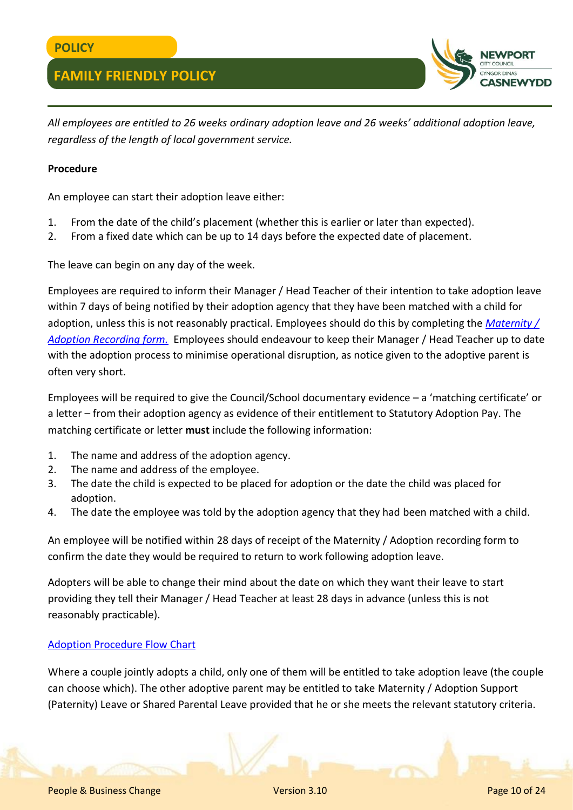

*All employees are entitled to 26 weeks ordinary adoption leave and 26 weeks' additional adoption leave, regardless of the length of local government service.*

#### **Procedure**

An employee can start their adoption leave either:

- 1. From the date of the child's placement (whether this is earlier or later than expected).
- 2. From a fixed date which can be up to 14 days before the expected date of placement.

The leave can begin on any day of the week.

Employees are required to inform their Manager / Head Teacher of their intention to take adoption leave within 7 days of being notified by their adoption agency that they have been matched with a child for adoption, unless this is not reasonably practical. Employees should do this by completing the *[Maternity /](http://www.newport.gov.uk/documents/Forms/HR-Maternity-Adoption-Recording-Form.docx)  [Adoption Recording form.](http://www.newport.gov.uk/documents/Forms/HR-Maternity-Adoption-Recording-Form.docx)* Employees should endeavour to keep their Manager / Head Teacher up to date with the adoption process to minimise operational disruption, as notice given to the adoptive parent is often very short.

Employees will be required to give the Council/School documentary evidence – a 'matching certificate' or a letter – from their adoption agency as evidence of their entitlement to Statutory Adoption Pay. The matching certificate or letter **must** include the following information:

- 1. The name and address of the adoption agency.
- 2. The name and address of the employee.
- 3. The date the child is expected to be placed for adoption or the date the child was placed for adoption.
- 4. The date the employee was told by the adoption agency that they had been matched with a child.

An employee will be notified within 28 days of receipt of the Maternity / Adoption recording form to confirm the date they would be required to return to work following adoption leave.

Adopters will be able to change their mind about the date on which they want their leave to start providing they tell their Manager / Head Teacher at least 28 days in advance (unless this is not reasonably practicable).

#### [Adoption Procedure Flow Chart](http://www.newport.gov.uk/documents/Policies/HR-Adoption-Procedure-Flow-Chart.pdf)

Where a couple jointly adopts a child, only one of them will be entitled to take adoption leave (the couple can choose which). The other adoptive parent may be entitled to take [Maternity / Adoption Support](http://www.newport.gov.uk/stellent/groups/internal/documents/form/cont581057.pdf)  [\(Paternity\) Leave](http://www.newport.gov.uk/stellent/groups/internal/documents/form/cont581057.pdf) or Shared Parental Leave provided that he or she meets the relevant statutory criteria.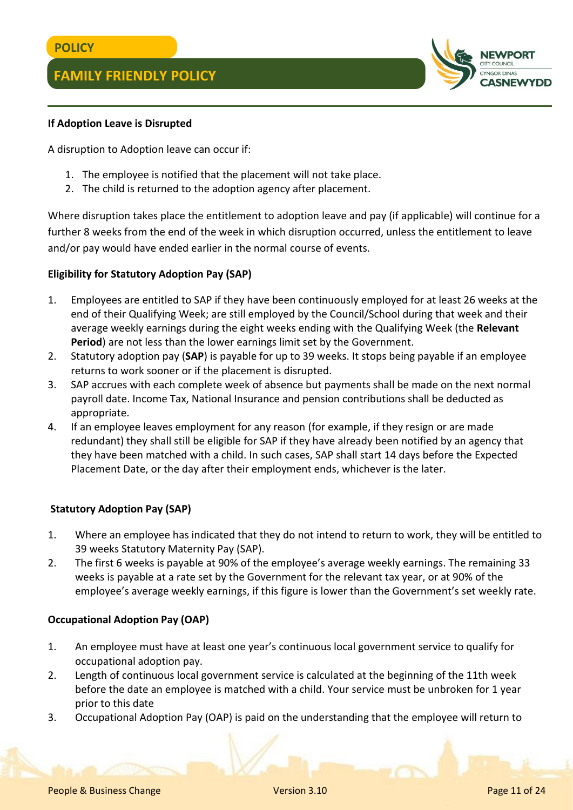

#### **If Adoption Leave is Disrupted**

A disruption to Adoption leave can occur if:

- 1. The employee is notified that the placement will not take place.
- 2. The child is returned to the adoption agency after placement.

Where disruption takes place the entitlement to adoption leave and pay (if applicable) will continue for a further 8 weeks from the end of the week in which disruption occurred, unless the entitlement to leave and/or pay would have ended earlier in the normal course of events.

#### **Eligibility for Statutory Adoption Pay (SAP)**

- 1. Employees are entitled to SAP if they have been continuously employed for at least 26 weeks at the end of their Qualifying Week; are still employed by the Council/School during that week and their average weekly earnings during the eight weeks ending with the Qualifying Week (the **Relevant Period**) are not less than the lower earnings limit set by the Government.
- 2. Statutory adoption pay (**SAP**) is payable for up to 39 weeks. It stops being payable if an employee returns to work sooner or if the placement is disrupted.
- 3. SAP accrues with each complete week of absence but payments shall be made on the next normal payroll date. Income Tax, National Insurance and pension contributions shall be deducted as appropriate.
- 4. If an employee leaves employment for any reason (for example, if they resign or are made redundant) they shall still be eligible for SAP if they have already been notified by an agency that they have been matched with a child. In such cases, SAP shall start 14 days before the Expected Placement Date, or the day after their employment ends, whichever is the later.

#### **Statutory Adoption Pay (SAP)**

- 1. Where an employee has indicated that they do not intend to return to work, they will be entitled to 39 weeks Statutory Maternity Pay (SAP).
- 2. The first 6 weeks is payable at 90% of the employee's average weekly earnings. The remaining 33 weeks is payable at a rate set by the Government for the relevant tax year, or at 90% of the employee's average weekly earnings, if this figure is lower than the Government's set weekly rate.

#### **Occupational Adoption Pay (OAP)**

- 1. An employee must have at least one year's continuous local government service to qualify for occupational adoption pay.
- 2. Length of continuous local government service is calculated at the beginning of the 11th week before the date an employee is matched with a child. Your service must be unbroken for 1 year prior to this date
- 3. Occupational Adoption Pay (OAP) is paid on the understanding that the employee will return to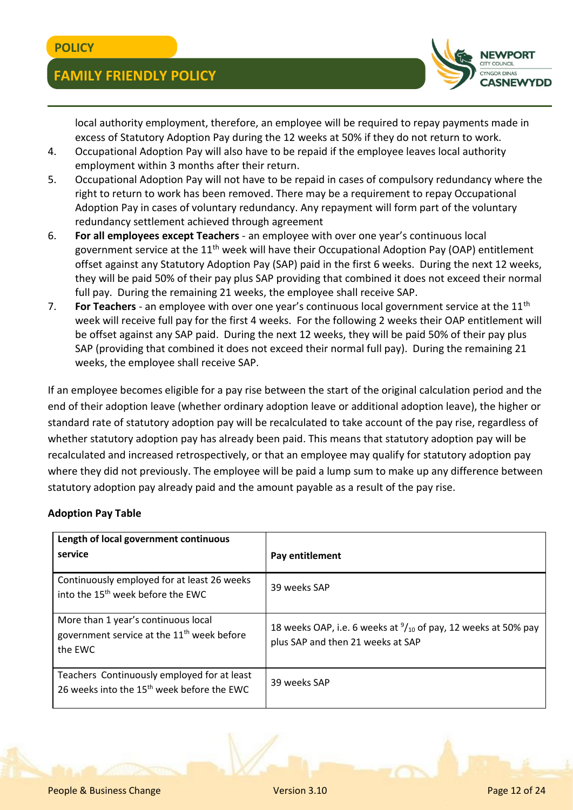

local authority employment, therefore, an employee will be required to repay payments made in excess of Statutory Adoption Pay during the 12 weeks at 50% if they do not return to work.

- 4. Occupational Adoption Pay will also have to be repaid if the employee leaves local authority employment within 3 months after their return.
- 5. Occupational Adoption Pay will not have to be repaid in cases of compulsory redundancy where the right to return to work has been removed. There may be a requirement to repay Occupational Adoption Pay in cases of voluntary redundancy. Any repayment will form part of the voluntary redundancy settlement achieved through agreement
- 6. **For all employees except Teachers** an employee with over one year's continuous local government service at the 11<sup>th</sup> week will have their Occupational Adoption Pay (OAP) entitlement offset against any Statutory Adoption Pay (SAP) paid in the first 6 weeks. During the next 12 weeks, they will be paid 50% of their pay plus SAP providing that combined it does not exceed their normal full pay. During the remaining 21 weeks, the employee shall receive SAP.
- 7. **For Teachers** an employee with over one year's continuous local government service at the 11<sup>th</sup> week will receive full pay for the first 4 weeks. For the following 2 weeks their OAP entitlement will be offset against any SAP paid. During the next 12 weeks, they will be paid 50% of their pay plus SAP (providing that combined it does not exceed their normal full pay). During the remaining 21 weeks, the employee shall receive SAP.

If an employee becomes eligible for a pay rise between the start of the original calculation period and the end of their adoption leave (whether ordinary adoption leave or additional adoption leave), the higher or standard rate of statutory adoption pay will be recalculated to take account of the pay rise, regardless of whether statutory adoption pay has already been paid. This means that statutory adoption pay will be recalculated and increased retrospectively, or that an employee may qualify for statutory adoption pay where they did not previously. The employee will be paid a lump sum to make up any difference between statutory adoption pay already paid and the amount payable as a result of the pay rise.

#### **Adoption Pay Table**

| Length of local government continuous                                                                    |                                                                                                               |
|----------------------------------------------------------------------------------------------------------|---------------------------------------------------------------------------------------------------------------|
| service                                                                                                  | Pay entitlement                                                                                               |
| Continuously employed for at least 26 weeks<br>into the 15 <sup>th</sup> week before the EWC             | 39 weeks SAP                                                                                                  |
| More than 1 year's continuous local<br>government service at the 11 <sup>th</sup> week before<br>the FWC | 18 weeks OAP, i.e. 6 weeks at $\frac{9}{10}$ of pay, 12 weeks at 50% pay<br>plus SAP and then 21 weeks at SAP |
| Teachers Continuously employed for at least<br>26 weeks into the 15 <sup>th</sup> week before the EWC    | 39 weeks SAP                                                                                                  |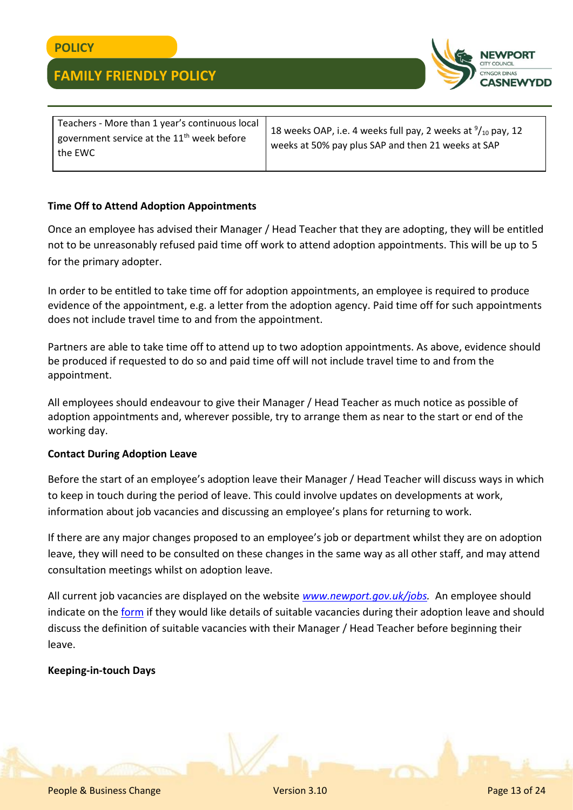

| Teachers - More than 1 year's continuous local<br>government service at the $11th$ week before<br>the EWC | 18 weeks OAP, i.e. 4 weeks full pay, 2 weeks at $\frac{9}{10}$ pay, 12<br>weeks at 50% pay plus SAP and then 21 weeks at SAP |
|-----------------------------------------------------------------------------------------------------------|------------------------------------------------------------------------------------------------------------------------------|
|-----------------------------------------------------------------------------------------------------------|------------------------------------------------------------------------------------------------------------------------------|

#### **Time Off to Attend Adoption Appointments**

Once an employee has advised their Manager / Head Teacher that they are adopting, they will be entitled not to be unreasonably refused paid time off work to attend adoption appointments. This will be up to 5 for the primary adopter.

In order to be entitled to take time off for adoption appointments, an employee is required to produce evidence of the appointment, e.g. a letter from the adoption agency. Paid time off for such appointments does not include travel time to and from the appointment.

Partners are able to take time off to attend up to two adoption appointments. As above, evidence should be produced if requested to do so and paid time off will not include travel time to and from the appointment.

All employees should endeavour to give their Manager / Head Teacher as much notice as possible of adoption appointments and, wherever possible, try to arrange them as near to the start or end of the working day.

#### **Contact During Adoption Leave**

Before the start of an employee's adoption leave their Manager / Head Teacher will discuss ways in which to keep in touch during the period of leave. This could involve updates on developments at work, information about job vacancies and discussing an employee's plans for returning to work.

If there are any major changes proposed to an employee's job or department whilst they are on adoption leave, they will need to be consulted on these changes in the same way as all other staff, and may attend consultation meetings whilst on adoption leave.

All current job vacancies are displayed on the website *[www.newport.gov.uk/jobs.](http://www.newport.gov.uk/jobs)* An employee should indicate on th[e form](http://www.newport.gov.uk/documents/Forms/HR-Maternity-Adoption-Recording-Form.docx) if they would like details of suitable vacancies during their adoption leave and should discuss the definition of suitable vacancies with their Manager / Head Teacher before beginning their leave.

#### **Keeping-in-touch Days**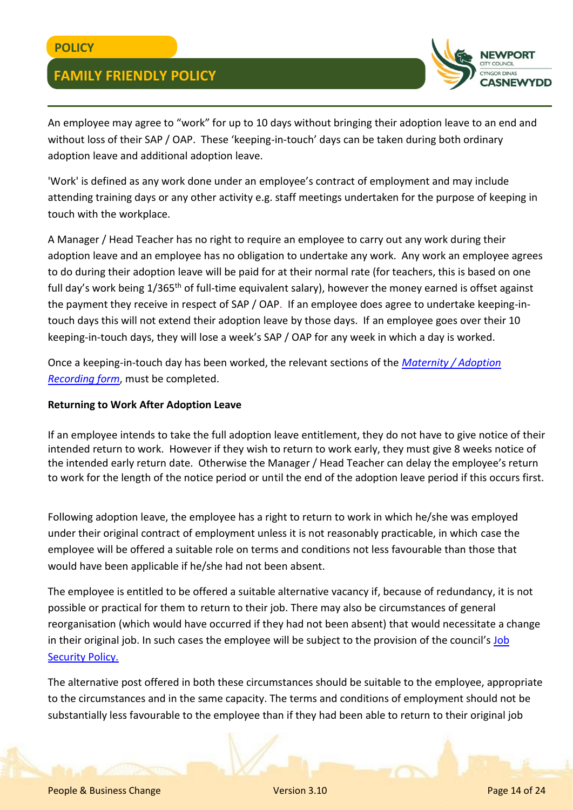

An employee may agree to "work" for up to 10 days without bringing their adoption leave to an end and without loss of their SAP / OAP. These 'keeping-in-touch' days can be taken during both ordinary adoption leave and additional adoption leave.

'Work' is defined as any work done under an employee's contract of employment and may include attending training days or any other activity e.g. staff meetings undertaken for the purpose of keeping in touch with the workplace.

A Manager / Head Teacher has no right to require an employee to carry out any work during their adoption leave and an employee has no obligation to undertake any work. Any work an employee agrees to do during their adoption leave will be paid for at their normal rate (for teachers, this is based on one full day's work being 1/365<sup>th</sup> of full-time equivalent salary), however the money earned is offset against the payment they receive in respect of SAP / OAP. If an employee does agree to undertake keeping-intouch days this will not extend their adoption leave by those days. If an employee goes over their 10 keeping-in-touch days, they will lose a week's SAP / OAP for any week in which a day is worked.

Once a keeping-in-touch day has been worked, the relevant sections of the *[Maternity / Adoption](http://www.newport.gov.uk/documents/Forms/HR-Maternity-Adoption-Recording-Form.docx)  [Recording form](http://www.newport.gov.uk/documents/Forms/HR-Maternity-Adoption-Recording-Form.docx)*, must be completed.

#### **Returning to Work After Adoption Leave**

If an employee intends to take the full adoption leave entitlement, they do not have to give notice of their intended return to work. However if they wish to return to work early, they must give 8 weeks notice of the intended early return date. Otherwise the Manager / Head Teacher can delay the employee's return to work for the length of the notice period or until the end of the adoption leave period if this occurs first.

Following adoption leave, the employee has a right to return to work in which he/she was employed under their original contract of employment unless it is not reasonably practicable, in which case the employee will be offered a suitable role on terms and conditions not less favourable than those that would have been applicable if he/she had not been absent.

The employee is entitled to be offered a suitable alternative vacancy if, because of redundancy, it is not possible or practical for them to return to their job. There may also be circumstances of general reorganisation (which would have occurred if they had not been absent) that would necessitate a change in their original job. In such cases the employee will be subject to the provision of the council's [Job](http://www.newport.gov.uk/documents/Policies/HR-Job-Security-Policy.pdf)  [Security Policy.](http://www.newport.gov.uk/documents/Policies/HR-Job-Security-Policy.pdf)

The alternative post offered in both these circumstances should be suitable to the employee, appropriate to the circumstances and in the same capacity. The terms and conditions of employment should not be substantially less favourable to the employee than if they had been able to return to their original job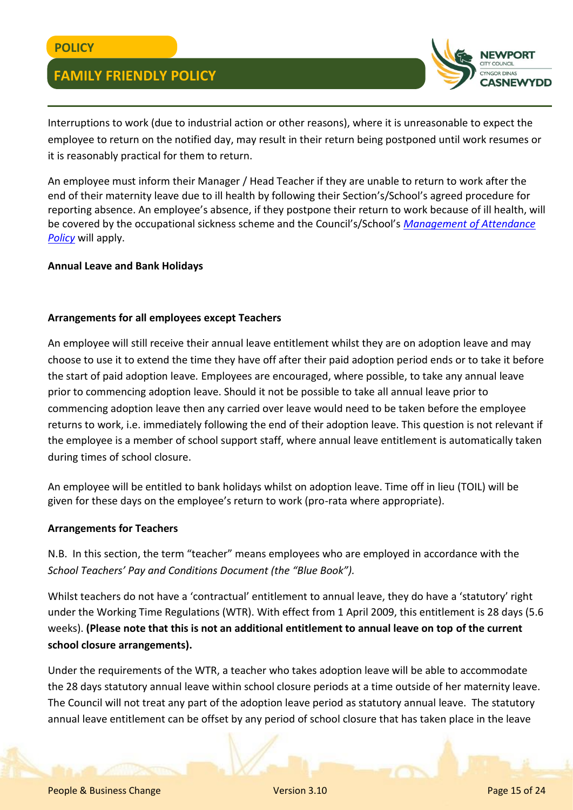

Interruptions to work (due to industrial action or other reasons), where it is unreasonable to expect the employee to return on the notified day, may result in their return being postponed until work resumes or it is reasonably practical for them to return.

An employee must inform their Manager / Head Teacher if they are unable to return to work after the end of their maternity leave due to ill health by following their Section's/School's agreed procedure for reporting absence. An employee's absence, if they postpone their return to work because of ill health, will be covered by the occupational sickness scheme and the Council's/School's *[Management of Attendance](http://www.newport.gov.uk/documents/Policies/HR-Management-of-Attendance-Policy.pdf)  [Policy](http://www.newport.gov.uk/documents/Policies/HR-Management-of-Attendance-Policy.pdf)* will apply.

#### **Annual Leave and Bank Holidays**

#### **Arrangements for all employees except Teachers**

An employee will still receive their annual leave entitlement whilst they are on adoption leave and may choose to use it to extend the time they have off after their paid adoption period ends or to take it before the start of paid adoption leave*.* Employees are encouraged, where possible, to take any annual leave prior to commencing adoption leave. Should it not be possible to take all annual leave prior to commencing adoption leave then any carried over leave would need to be taken before the employee returns to work, i.e. immediately following the end of their adoption leave. This question is not relevant if the employee is a member of school support staff, where annual leave entitlement is automatically taken during times of school closure.

An employee will be entitled to bank holidays whilst on adoption leave. Time off in lieu (TOIL) will be given for these days on the employee's return to work (pro-rata where appropriate).

#### **Arrangements for Teachers**

N.B. In this section, the term "teacher" means employees who are employed in accordance with the *School Teachers' Pay and Conditions Document (the "Blue Book").*

Whilst teachers do not have a 'contractual' entitlement to annual leave, they do have a 'statutory' right under the Working Time Regulations (WTR). With effect from 1 April 2009, this entitlement is 28 days (5.6 weeks). **(Please note that this is not an additional entitlement to annual leave on top of the current school closure arrangements).**

Under the requirements of the WTR, a teacher who takes adoption leave will be able to accommodate the 28 days statutory annual leave within school closure periods at a time outside of her maternity leave. The Council will not treat any part of the adoption leave period as statutory annual leave. The statutory annual leave entitlement can be offset by any period of school closure that has taken place in the leave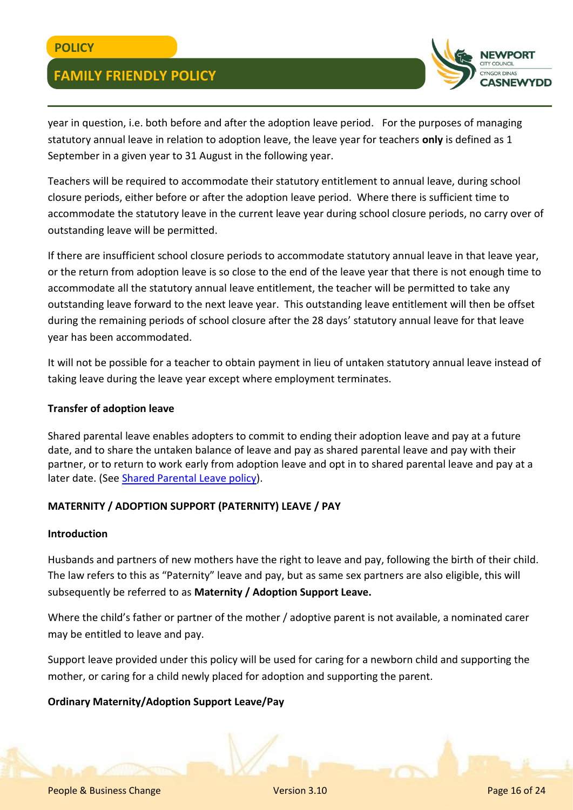

year in question, i.e. both before and after the adoption leave period. For the purposes of managing statutory annual leave in relation to adoption leave, the leave year for teachers **only** is defined as 1 September in a given year to 31 August in the following year.

Teachers will be required to accommodate their statutory entitlement to annual leave, during school closure periods, either before or after the adoption leave period. Where there is sufficient time to accommodate the statutory leave in the current leave year during school closure periods, no carry over of outstanding leave will be permitted.

If there are insufficient school closure periods to accommodate statutory annual leave in that leave year, or the return from adoption leave is so close to the end of the leave year that there is not enough time to accommodate all the statutory annual leave entitlement, the teacher will be permitted to take any outstanding leave forward to the next leave year. This outstanding leave entitlement will then be offset during the remaining periods of school closure after the 28 days' statutory annual leave for that leave year has been accommodated.

It will not be possible for a teacher to obtain payment in lieu of untaken statutory annual leave instead of taking leave during the leave year except where employment terminates.

#### **Transfer of adoption leave**

Shared parental leave enables adopters to commit to ending their adoption leave and pay at a future date, and to share the untaken balance of leave and pay as shared parental leave and pay with their partner, or to return to work early from adoption leave and opt in to shared parental leave and pay at a later date. (Se[e Shared Parental Leave policy\)](http://www.newport.gov.uk/documents/Policies/HR-Shared-Parental-Leave-Policy.pdf).

#### **MATERNITY / ADOPTION SUPPORT (PATERNITY) LEAVE / PAY**

#### **Introduction**

Husbands and partners of new mothers have the right to leave and pay, following the birth of their child. The law refers to this as "Paternity" leave and pay, but as same sex partners are also eligible, this will subsequently be referred to as **Maternity / Adoption Support Leave.**

Where the child's father or partner of the mother / adoptive parent is not available, a nominated carer may be entitled to leave and pay.

Support leave provided under this policy will be used for caring for a newborn child and supporting the mother, or caring for a child newly placed for adoption and supporting the parent.

#### **Ordinary Maternity/Adoption Support Leave/Pay**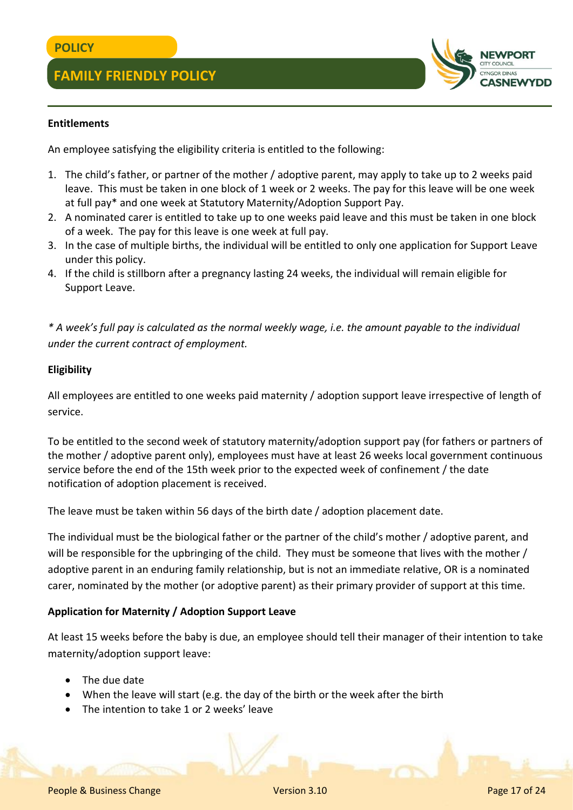

#### **Entitlements**

An employee satisfying the eligibility criteria is entitled to the following:

- 1. The child's father, or partner of the mother / adoptive parent, may apply to take up to 2 weeks paid leave. This must be taken in one block of 1 week or 2 weeks. The pay for this leave will be one week at full pay\* and one week at Statutory Maternity/Adoption Support Pay.
- 2. A nominated carer is entitled to take up to one weeks paid leave and this must be taken in one block of a week. The pay for this leave is one week at full pay.
- 3. In the case of multiple births, the individual will be entitled to only one application for Support Leave under this policy.
- 4. If the child is stillborn after a pregnancy lasting 24 weeks, the individual will remain eligible for Support Leave.

*\* A week's full pay is calculated as the normal weekly wage, i.e. the amount payable to the individual under the current contract of employment.* 

#### **Eligibility**

All employees are entitled to one weeks paid maternity / adoption support leave irrespective of length of service.

To be entitled to the second week of statutory maternity/adoption support pay (for fathers or partners of the mother / adoptive parent only), employees must have at least 26 weeks local government continuous service before the end of the 15th week prior to the expected week of confinement / the date notification of adoption placement is received.

The leave must be taken within 56 days of the birth date / adoption placement date.

The individual must be the biological father or the partner of the child's mother / adoptive parent, and will be responsible for the upbringing of the child. They must be someone that lives with the mother / adoptive parent in an enduring family relationship, but is not an immediate relative, OR is a nominated carer, nominated by the mother (or adoptive parent) as their primary provider of support at this time.

#### **Application for Maternity / Adoption Support Leave**

At least 15 weeks before the baby is due, an employee should tell their manager of their intention to take maternity/adoption support leave:

- The due date
- When the leave will start (e.g. the day of the birth or the week after the birth
- The intention to take 1 or 2 weeks' leave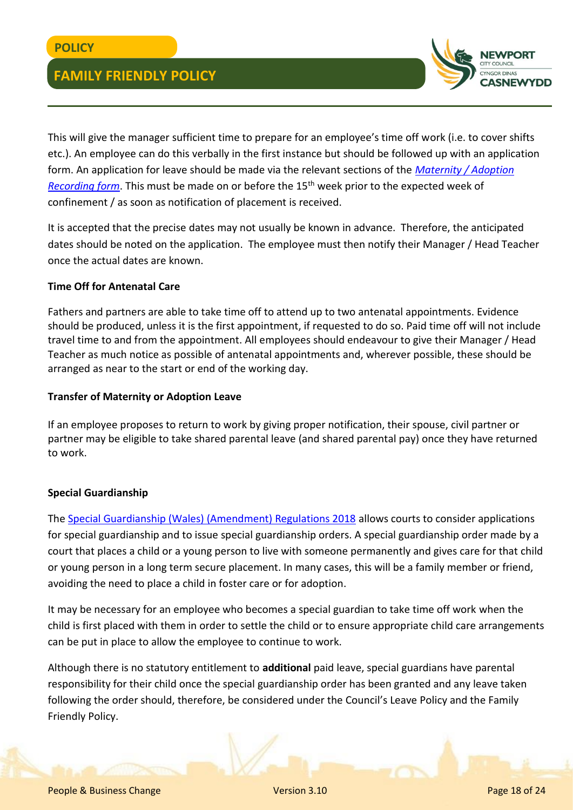

This will give the manager sufficient time to prepare for an employee's time off work (i.e. to cover shifts etc.). An employee can do this verbally in the first instance but should be followed up with an application form. An application for leave should be made via the relevant sections of the *[Maternity / Adoption](http://www.newport.gov.uk/documents/Forms/HR-Maternity-Adoption-Recording-Form.docx)  [Recording form](http://www.newport.gov.uk/documents/Forms/HR-Maternity-Adoption-Recording-Form.docx)*. This must be made on or before the 15<sup>th</sup> week prior to the expected week of confinement / as soon as notification of placement is received.

It is accepted that the precise dates may not usually be known in advance. Therefore, the anticipated dates should be noted on the application. The employee must then notify their Manager / Head Teacher once the actual dates are known.

#### **Time Off for Antenatal Care**

Fathers and partners are able to take time off to attend up to two antenatal appointments. Evidence should be produced, unless it is the first appointment, if requested to do so. Paid time off will not include travel time to and from the appointment. All employees should endeavour to give their Manager / Head Teacher as much notice as possible of antenatal appointments and, wherever possible, these should be arranged as near to the start or end of the working day.

#### **Transfer of Maternity or Adoption Leave**

If an employee proposes to return to work by giving proper notification, their spouse, civil partner or partner may be eligible to take shared parental leave (and shared parental pay) once they have returned to work.

#### **Special Guardianship**

The [Special Guardianship \(Wales\) \(Amendment\) Regulations 2018](http://www.legislation.gov.uk/wsi/2018/573/made) allows courts to consider applications for special guardianship and to issue special guardianship orders. A special guardianship order made by a court that places a child or a young person to live with someone permanently and gives care for that child or young person in a long term secure placement. In many cases, this will be a family member or friend, avoiding the need to place a child in foster care or for adoption.

It may be necessary for an employee who becomes a special guardian to take time off work when the child is first placed with them in order to settle the child or to ensure appropriate child care arrangements can be put in place to allow the employee to continue to work.

Although there is no statutory entitlement to **additional** paid leave, special guardians have parental responsibility for their child once the special guardianship order has been granted and any leave taken following the order should, therefore, be considered under the Council's Leave Policy and the Family Friendly Policy.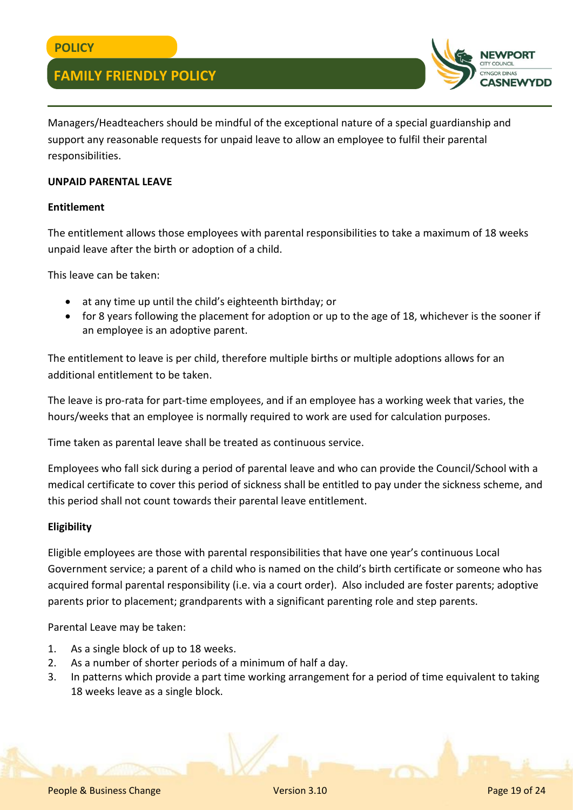

Managers/Headteachers should be mindful of the exceptional nature of a special guardianship and support any reasonable requests for unpaid leave to allow an employee to fulfil their parental responsibilities.

#### **UNPAID PARENTAL LEAVE**

#### **Entitlement**

The entitlement allows those employees with parental responsibilities to take a maximum of 18 weeks unpaid leave after the birth or adoption of a child.

This leave can be taken:

- at any time up until the child's eighteenth birthday; or
- for 8 years following the placement for adoption or up to the age of 18, whichever is the sooner if an employee is an adoptive parent.

The entitlement to leave is per child, therefore multiple births or multiple adoptions allows for an additional entitlement to be taken.

The leave is pro-rata for part-time employees, and if an employee has a working week that varies, the hours/weeks that an employee is normally required to work are used for calculation purposes.

Time taken as parental leave shall be treated as continuous service.

Employees who fall sick during a period of parental leave and who can provide the Council/School with a medical certificate to cover this period of sickness shall be entitled to pay under the sickness scheme, and this period shall not count towards their parental leave entitlement.

#### **Eligibility**

Eligible employees are those with parental responsibilities that have one year's continuous Local Government service; a parent of a child who is named on the child's birth certificate or someone who has acquired formal parental responsibility (i.e. via a court order). Also included are foster parents; adoptive parents prior to placement; grandparents with a significant parenting role and step parents.

Parental Leave may be taken:

- 1. As a single block of up to 18 weeks.
- 2. As a number of shorter periods of a minimum of half a day.
- 3. In patterns which provide a part time working arrangement for a period of time equivalent to taking 18 weeks leave as a single block.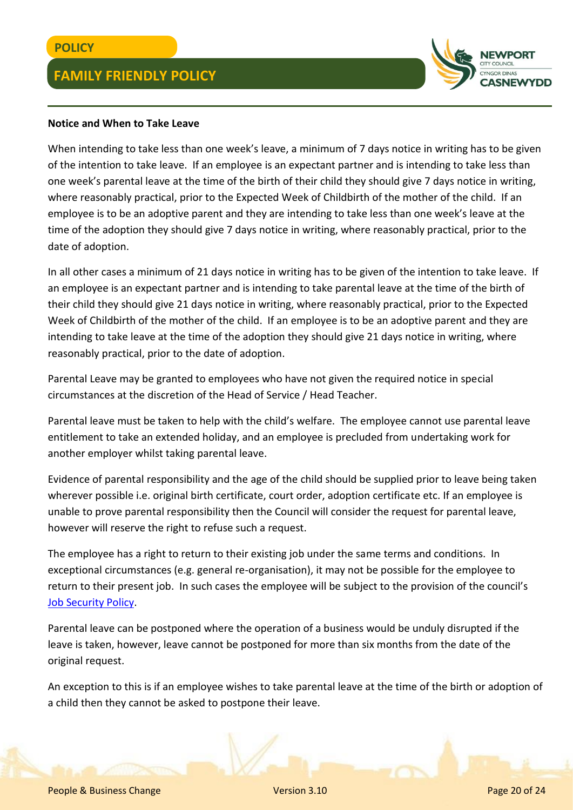

#### **Notice and When to Take Leave**

When intending to take less than one week's leave, a minimum of 7 days notice in writing has to be given of the intention to take leave. If an employee is an expectant partner and is intending to take less than one week's parental leave at the time of the birth of their child they should give 7 days notice in writing, where reasonably practical, prior to the Expected Week of Childbirth of the mother of the child. If an employee is to be an adoptive parent and they are intending to take less than one week's leave at the time of the adoption they should give 7 days notice in writing, where reasonably practical, prior to the date of adoption.

In all other cases a minimum of 21 days notice in writing has to be given of the intention to take leave. If an employee is an expectant partner and is intending to take parental leave at the time of the birth of their child they should give 21 days notice in writing, where reasonably practical, prior to the Expected Week of Childbirth of the mother of the child. If an employee is to be an adoptive parent and they are intending to take leave at the time of the adoption they should give 21 days notice in writing, where reasonably practical, prior to the date of adoption.

Parental Leave may be granted to employees who have not given the required notice in special circumstances at the discretion of the Head of Service / Head Teacher.

Parental leave must be taken to help with the child's welfare. The employee cannot use parental leave entitlement to take an extended holiday, and an employee is precluded from undertaking work for another employer whilst taking parental leave.

Evidence of parental responsibility and the age of the child should be supplied prior to leave being taken wherever possible i.e. original birth certificate, court order, adoption certificate etc. If an employee is unable to prove parental responsibility then the Council will consider the request for parental leave, however will reserve the right to refuse such a request.

The employee has a right to return to their existing job under the same terms and conditions. In exceptional circumstances (e.g. general re-organisation), it may not be possible for the employee to return to their present job. In such cases the employee will be subject to the provision of the council's [Job Security Policy.](http://www.newport.gov.uk/documents/Policies/HR-Job-Security-Policy.pdf)

Parental leave can be postponed where the operation of a business would be unduly disrupted if the leave is taken, however, leave cannot be postponed for more than six months from the date of the original request.

An exception to this is if an employee wishes to take parental leave at the time of the birth or adoption of a child then they cannot be asked to postpone their leave.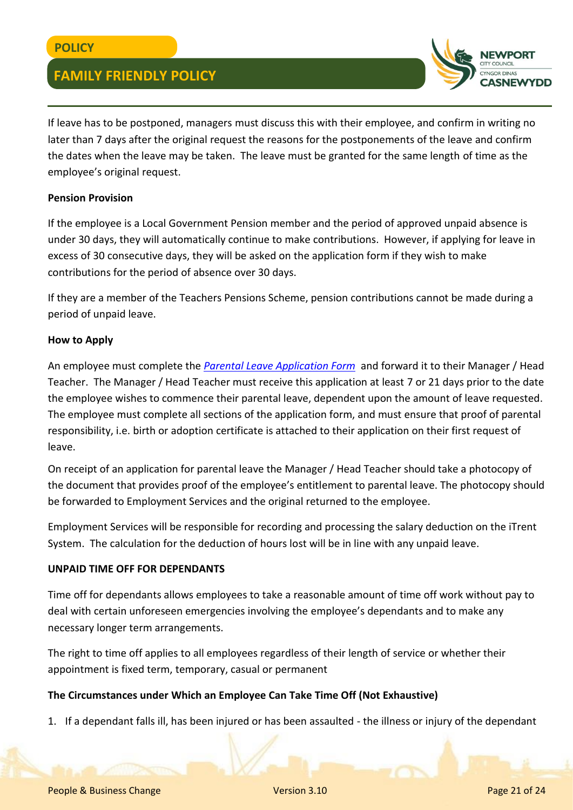

If leave has to be postponed, managers must discuss this with their employee, and confirm in writing no later than 7 days after the original request the reasons for the postponements of the leave and confirm the dates when the leave may be taken. The leave must be granted for the same length of time as the employee's original request.

#### **Pension Provision**

If the employee is a Local Government Pension member and the period of approved unpaid absence is under 30 days, they will automatically continue to make contributions. However, if applying for leave in excess of 30 consecutive days, they will be asked on the application form if they wish to make contributions for the period of absence over 30 days.

If they are a member of the Teachers Pensions Scheme, pension contributions cannot be made during a period of unpaid leave.

#### **How to Apply**

An employee must complete the *[Parental Leave Application Form](http://www.newport.gov.uk/documents/Forms/HR-Parental-Leave-Application-Form.docx)* and forward it to their Manager / Head Teacher. The Manager / Head Teacher must receive this application at least 7 or 21 days prior to the date the employee wishes to commence their parental leave, dependent upon the amount of leave requested. The employee must complete all sections of the application form, and must ensure that proof of parental responsibility, i.e. birth or adoption certificate is attached to their application on their first request of leave.

On receipt of an application for parental leave the Manager / Head Teacher should take a photocopy of the document that provides proof of the employee's entitlement to parental leave. The photocopy should be forwarded to Employment Services and the original returned to the employee.

Employment Services will be responsible for recording and processing the salary deduction on the iTrent System. The calculation for the deduction of hours lost will be in line with any unpaid leave.

#### **UNPAID TIME OFF FOR DEPENDANTS**

Time off for dependants allows employees to take a reasonable amount of time off work without pay to deal with certain unforeseen emergencies involving the employee's dependants and to make any necessary longer term arrangements.

The right to time off applies to all employees regardless of their length of service or whether their appointment is fixed term, temporary, casual or permanent

#### **The Circumstances under Which an Employee Can Take Time Off (Not Exhaustive)**

1. If a dependant falls ill, has been injured or has been assaulted - the illness or injury of the dependant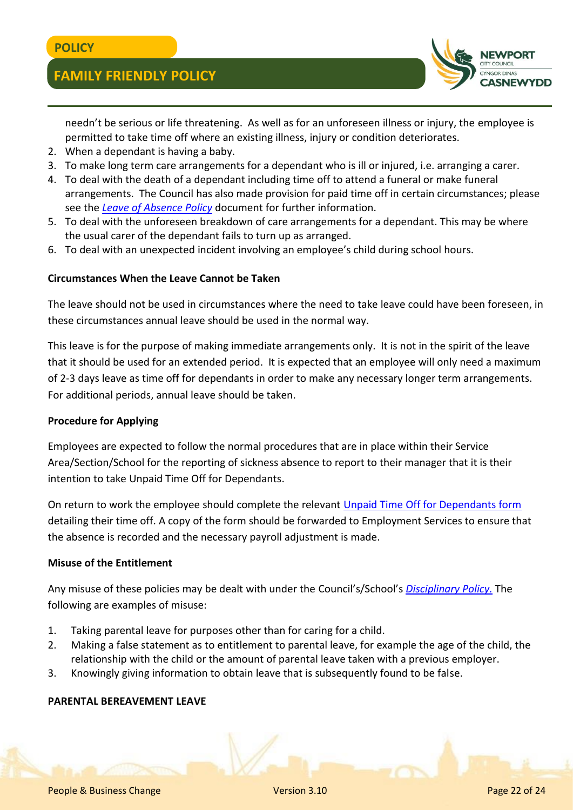

needn't be serious or life threatening. As well as for an unforeseen illness or injury, the employee is permitted to take time off where an existing illness, injury or condition deteriorates.

- 2. When a dependant is having a baby.
- 3. To make long term care arrangements for a dependant who is ill or injured, i.e. arranging a carer.
- 4. To deal with the death of a dependant including time off to attend a funeral or make funeral arrangements. The Council has also made provision for paid time off in certain circumstances; please see the *[Leave of Absence Policy](http://www.newport.gov.uk/documents/Policies/HR-Leave-of-Absence-Policy.pdf)* document for further information.
- 5. To deal with the unforeseen breakdown of care arrangements for a dependant. This may be where the usual carer of the dependant fails to turn up as arranged.
- 6. To deal with an unexpected incident involving an employee's child during school hours.

#### **Circumstances When the Leave Cannot be Taken**

The leave should not be used in circumstances where the need to take leave could have been foreseen, in these circumstances annual leave should be used in the normal way.

This leave is for the purpose of making immediate arrangements only. It is not in the spirit of the leave that it should be used for an extended period. It is expected that an employee will only need a maximum of 2-3 days leave as time off for dependants in order to make any necessary longer term arrangements. For additional periods, annual leave should be taken.

#### **Procedure for Applying**

Employees are expected to follow the normal procedures that are in place within their Service Area/Section/School for the reporting of sickness absence to report to their manager that it is their intention to take Unpaid Time Off for Dependants.

On return to work the employee should complete the relevant [Unpaid Time Off for Dependants form](http://www.newport.gov.uk/documents/Forms/HR-Application-Unpaid-Time-Off-for-Dependants.docx) detailing their time off. A copy of the form should be forwarded to Employment Services to ensure that the absence is recorded and the necessary payroll adjustment is made.

#### **Misuse of the Entitlement**

Any misuse of these policies may be dealt with under the Council's/School's *[Disciplinary Policy.](http://www.newport.gov.uk/documents/Policies/HR-Disciplinary-Policy.pdf)* The following are examples of misuse:

- 1. Taking parental leave for purposes other than for caring for a child.
- 2. Making a false statement as to entitlement to parental leave, for example the age of the child, the relationship with the child or the amount of parental leave taken with a previous employer.
- 3. Knowingly giving information to obtain leave that is subsequently found to be false.

#### **PARENTAL BEREAVEMENT LEAVE**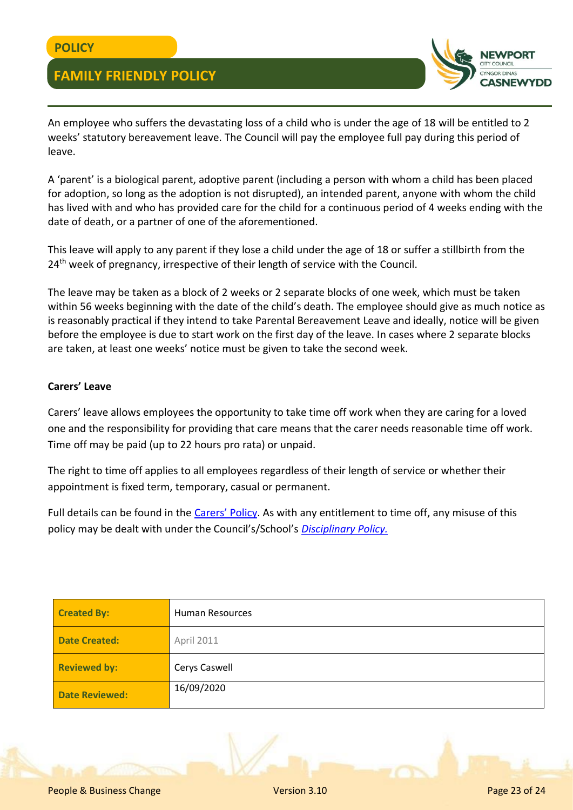

An employee who suffers the devastating loss of a child who is under the age of 18 will be entitled to 2 weeks' statutory bereavement leave. The Council will pay the employee full pay during this period of leave.

A 'parent' is a biological parent, adoptive parent (including a person with whom a child has been placed for adoption, so long as the adoption is not disrupted), an intended parent, anyone with whom the child has lived with and who has provided care for the child for a continuous period of 4 weeks ending with the date of death, or a partner of one of the aforementioned.

This leave will apply to any parent if they lose a child under the age of 18 or suffer a stillbirth from the  $24<sup>th</sup>$  week of pregnancy, irrespective of their length of service with the Council.

The leave may be taken as a block of 2 weeks or 2 separate blocks of one week, which must be taken within 56 weeks beginning with the date of the child's death. The employee should give as much notice as is reasonably practical if they intend to take Parental Bereavement Leave and ideally, notice will be given before the employee is due to start work on the first day of the leave. In cases where 2 separate blocks are taken, at least one weeks' notice must be given to take the second week.

#### **Carers' Leave**

Carers' leave allows employees the opportunity to take time off work when they are caring for a loved one and the responsibility for providing that care means that the carer needs reasonable time off work. Time off may be paid (up to 22 hours pro rata) or unpaid.

The right to time off applies to all employees regardless of their length of service or whether their appointment is fixed term, temporary, casual or permanent.

Full details can be found in the [Carers' Policy](http://www.newport.gov.uk/documents/Policies/HR-Carers-Policy-V1-June-2019.pdf). As with any entitlement to time off, any misuse of this policy may be dealt with under the Council's/School's *[Disciplinary Policy.](http://www.newport.gov.uk/documents/Policies/HR-Disciplinary-Policy.pdf)*

| <b>Created By:</b>    | <b>Human Resources</b> |
|-----------------------|------------------------|
| <b>Date Created:</b>  | April 2011             |
| <b>Reviewed by:</b>   | Cerys Caswell          |
| <b>Date Reviewed:</b> | 16/09/2020             |

People & Business Change Version 3.10 Page 23 of 24